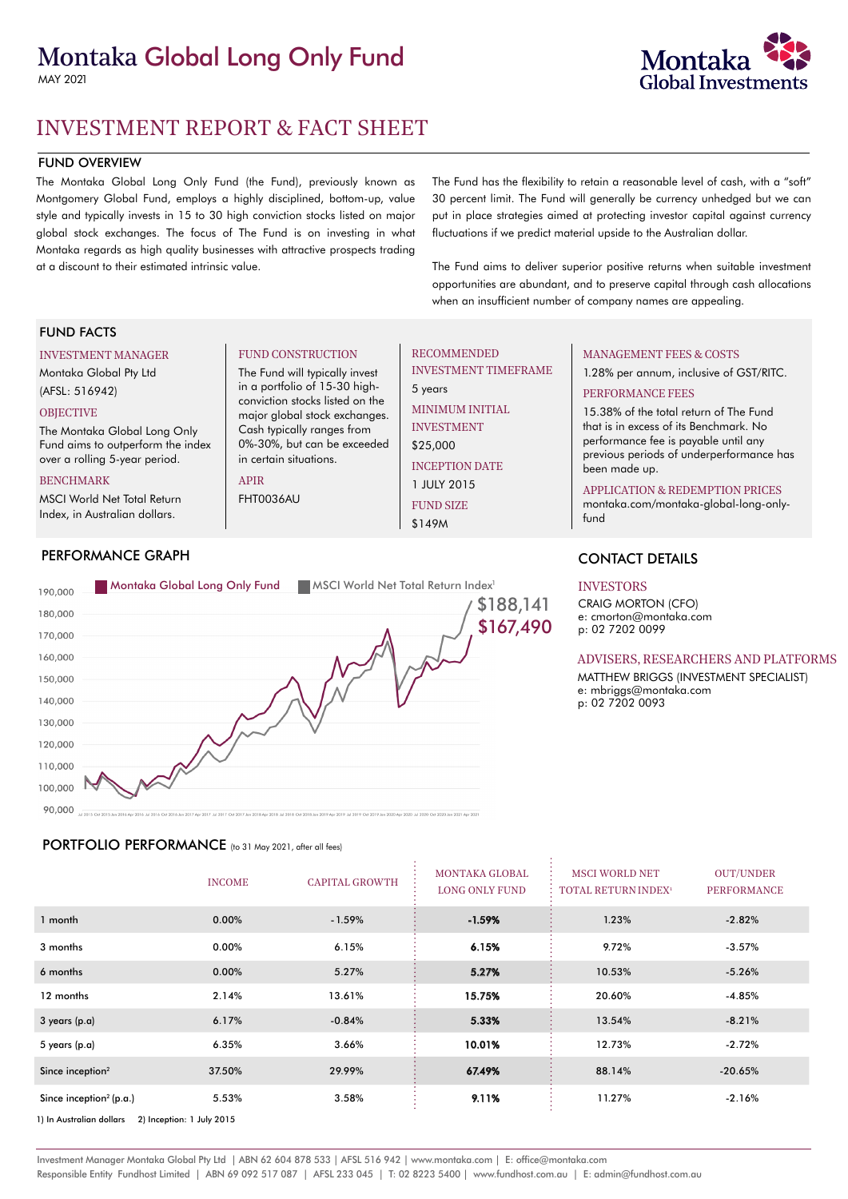# Montaka Global Long Only Fund

MAY 2021



# FUND OVERVIEW

The Montaka Global Long Only Fund (the Fund), previously known as Montgomery Global Fund, employs a highly disciplined, bottom-up, value style and typically invests in 15 to 30 high conviction stocks listed on major global stock exchanges. The focus of The Fund is on investing in what Montaka regards as high quality businesses with attractive prospects trading at a discount to their estimated intrinsic value.

The Fund has the flexibility to retain a reasonable level of cash, with a "soft" 30 percent limit. The Fund will generally be currency unhedged but we can put in place strategies aimed at protecting investor capital against currency fluctuations if we predict material upside to the Australian dollar.

The Fund aims to deliver superior positive returns when suitable investment opportunities are abundant, and to preserve capital through cash allocations when an insufficient number of company names are appealing.

## FUND FACTS

#### INVESTMENT MANAGER

Montaka Global Pty Ltd (AFSL: 516942)

# **OBJECTIVE**

The Montaka Global Long Only Fund aims to outperform the index over a rolling 5-year period.

#### BENCHMARK

MSCI World Net Total Return Index, in Australian dollars.

### FUND CONSTRUCTION

The Fund will typically invest in a portfolio of 15-30 highconviction stocks listed on the major global stock exchanges. Cash typically ranges from 0%-30%, but can be exceeded in certain situations.

APIR

FHT0036AU

### RECOMMENDED INVESTMENT TIMEFRAME

5 years MINIMUM INITIAL INVESTMENT \$25,000

> INCEPTION DATE 1 JULY 2015 FUND SIZE

\$149M

## MANAGEMENT FEES & COSTS 1.28% per annum, inclusive of GST/RITC.

PERFORMANCE FEES

15.38% of the total return of The Fund that is in excess of its Benchmark. No performance fee is payable until any previous periods of underperformance has been made up.

#### APPLICATION & REDEMPTION PRICES

[montaka.com/](https://montaka.com/our-strategy/montaka-global-long-only/montaka-global-long-only-fund/)montaka-global-long-onlyfund

# CONTACT DETAILS

### INVESTORS

CRAIG MORTON (CFO) e: cmorton@montaka.com p: 02 7202 0099

#### ADVISERS, RESEARCHERS AND PLATFORMS

MATTHEW BRIGGS (INVESTMENT SPECIALIST) e: mbriggs@montaka.com p: 02 7202 0093

160,000 150,000 140.000 130,000 120,000 110,000 100,000 90.000

# PORTFOLIO PERFORMANCE (to 31 May 2021, after all fees)

|                                                       | <b>INCOME</b> | <b>CAPITAL GROWTH</b> | <b>MONTAKA GLOBAL</b><br><b>LONG ONLY FUND</b> | <b>MSCI WORLD NET</b><br><b>TOTAL RETURN INDEX<sup>1</sup></b> | <b>OUT/UNDER</b><br><b>PERFORMANCE</b> |  |
|-------------------------------------------------------|---------------|-----------------------|------------------------------------------------|----------------------------------------------------------------|----------------------------------------|--|
| 1 month                                               | 0.00%         | $-1.59%$              | $-1.59%$                                       | 1.23%                                                          | $-2.82%$                               |  |
| 3 months                                              | 0.00%         | 6.15%                 | 6.15%                                          | 9.72%                                                          | $-3.57%$                               |  |
| 6 months                                              | 0.00%         | 5.27%                 | 5.27%                                          | 10.53%                                                         | $-5.26%$                               |  |
| 12 months                                             | 2.14%         | 13.61%                | 15.75%                                         | 20.60%                                                         | $-4.85%$                               |  |
| 3 years (p.a)                                         | 6.17%         | $-0.84%$              | 5.33%                                          | 13.54%                                                         | $-8.21%$                               |  |
| 5 years (p.a)                                         | 6.35%         | 3.66%                 | 10.01%                                         | 12.73%                                                         | $-2.72%$                               |  |
| Since inception <sup>2</sup>                          | 37.50%        | 29.99%                | 67.49%                                         | 88.14%                                                         | $-20.65%$                              |  |
| Since inception <sup>2</sup> (p.a.)                   | 5.53%         | 3.58%                 | 9.11%                                          | 11.27%                                                         | $-2.16%$                               |  |
| 2) Inception: 1 July 2015<br>1) In Australian dollars |               |                       |                                                |                                                                |                                        |  |